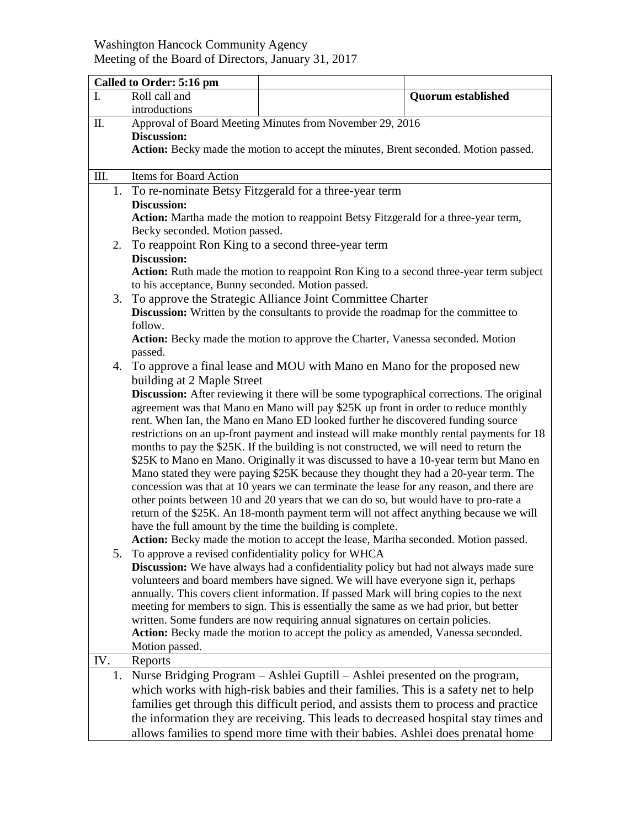## Washington Hancock Community Agency Meeting of the Board of Directors, January 31, 2017

|      | Called to Order: 5:16 pm                                                                                                                                                         |                                                                                        |                           |  |  |
|------|----------------------------------------------------------------------------------------------------------------------------------------------------------------------------------|----------------------------------------------------------------------------------------|---------------------------|--|--|
| I.   | Roll call and                                                                                                                                                                    |                                                                                        | <b>Quorum established</b> |  |  |
|      | introductions                                                                                                                                                                    |                                                                                        |                           |  |  |
| П.   | Approval of Board Meeting Minutes from November 29, 2016                                                                                                                         |                                                                                        |                           |  |  |
|      | <b>Discussion:</b>                                                                                                                                                               |                                                                                        |                           |  |  |
|      | Action: Becky made the motion to accept the minutes, Brent seconded. Motion passed.                                                                                              |                                                                                        |                           |  |  |
|      |                                                                                                                                                                                  |                                                                                        |                           |  |  |
| III. | Items for Board Action                                                                                                                                                           |                                                                                        |                           |  |  |
|      | 1. To re-nominate Betsy Fitzgerald for a three-year term                                                                                                                         |                                                                                        |                           |  |  |
|      | <b>Discussion:</b>                                                                                                                                                               |                                                                                        |                           |  |  |
|      | Action: Martha made the motion to reappoint Betsy Fitzgerald for a three-year term,<br>Becky seconded. Motion passed.                                                            |                                                                                        |                           |  |  |
| 2.   |                                                                                                                                                                                  |                                                                                        |                           |  |  |
|      | To reappoint Ron King to a second three-year term<br><b>Discussion:</b>                                                                                                          |                                                                                        |                           |  |  |
|      | Action: Ruth made the motion to reappoint Ron King to a second three-year term subject                                                                                           |                                                                                        |                           |  |  |
|      | to his acceptance, Bunny seconded. Motion passed.                                                                                                                                |                                                                                        |                           |  |  |
| 3.   | To approve the Strategic Alliance Joint Committee Charter                                                                                                                        |                                                                                        |                           |  |  |
|      | Discussion: Written by the consultants to provide the roadmap for the committee to                                                                                               |                                                                                        |                           |  |  |
|      | follow.                                                                                                                                                                          |                                                                                        |                           |  |  |
|      | Action: Becky made the motion to approve the Charter, Vanessa seconded. Motion                                                                                                   |                                                                                        |                           |  |  |
|      | passed.                                                                                                                                                                          |                                                                                        |                           |  |  |
|      | 4. To approve a final lease and MOU with Mano en Mano for the proposed new                                                                                                       |                                                                                        |                           |  |  |
|      | building at 2 Maple Street                                                                                                                                                       |                                                                                        |                           |  |  |
|      | Discussion: After reviewing it there will be some typographical corrections. The original                                                                                        |                                                                                        |                           |  |  |
|      | agreement was that Mano en Mano will pay \$25K up front in order to reduce monthly                                                                                               |                                                                                        |                           |  |  |
|      | rent. When Ian, the Mano en Mano ED looked further he discovered funding source                                                                                                  |                                                                                        |                           |  |  |
|      | restrictions on an up-front payment and instead will make monthly rental payments for 18                                                                                         |                                                                                        |                           |  |  |
|      | months to pay the \$25K. If the building is not constructed, we will need to return the<br>\$25K to Mano en Mano. Originally it was discussed to have a 10-year term but Mano en |                                                                                        |                           |  |  |
|      |                                                                                                                                                                                  |                                                                                        |                           |  |  |
|      | Mano stated they were paying \$25K because they thought they had a 20-year term. The<br>concession was that at 10 years we can terminate the lease for any reason, and there are |                                                                                        |                           |  |  |
|      | other points between 10 and 20 years that we can do so, but would have to pro-rate a                                                                                             |                                                                                        |                           |  |  |
|      | return of the \$25K. An 18-month payment term will not affect anything because we will                                                                                           |                                                                                        |                           |  |  |
|      |                                                                                                                                                                                  | have the full amount by the time the building is complete.                             |                           |  |  |
|      |                                                                                                                                                                                  | Action: Becky made the motion to accept the lease, Martha seconded. Motion passed.     |                           |  |  |
|      |                                                                                                                                                                                  | 5. To approve a revised confidentiality policy for WHCA                                |                           |  |  |
|      |                                                                                                                                                                                  | Discussion: We have always had a confidentiality policy but had not always made sure   |                           |  |  |
|      |                                                                                                                                                                                  | volunteers and board members have signed. We will have everyone sign it, perhaps       |                           |  |  |
|      |                                                                                                                                                                                  | annually. This covers client information. If passed Mark will bring copies to the next |                           |  |  |
|      | meeting for members to sign. This is essentially the same as we had prior, but better                                                                                            |                                                                                        |                           |  |  |
|      | written. Some funders are now requiring annual signatures on certain policies.<br>Action: Becky made the motion to accept the policy as amended, Vanessa seconded.               |                                                                                        |                           |  |  |
|      | Motion passed.                                                                                                                                                                   |                                                                                        |                           |  |  |
| IV.  | Reports                                                                                                                                                                          |                                                                                        |                           |  |  |
| 1.   |                                                                                                                                                                                  | Nurse Bridging Program – Ashlei Guptill – Ashlei presented on the program,             |                           |  |  |
|      |                                                                                                                                                                                  |                                                                                        |                           |  |  |
|      | which works with high-risk babies and their families. This is a safety net to help<br>families get through this difficult period, and assists them to process and practice       |                                                                                        |                           |  |  |
|      | the information they are receiving. This leads to decreased hospital stay times and                                                                                              |                                                                                        |                           |  |  |
|      |                                                                                                                                                                                  | allows families to spend more time with their babies. Ashlei does prenatal home        |                           |  |  |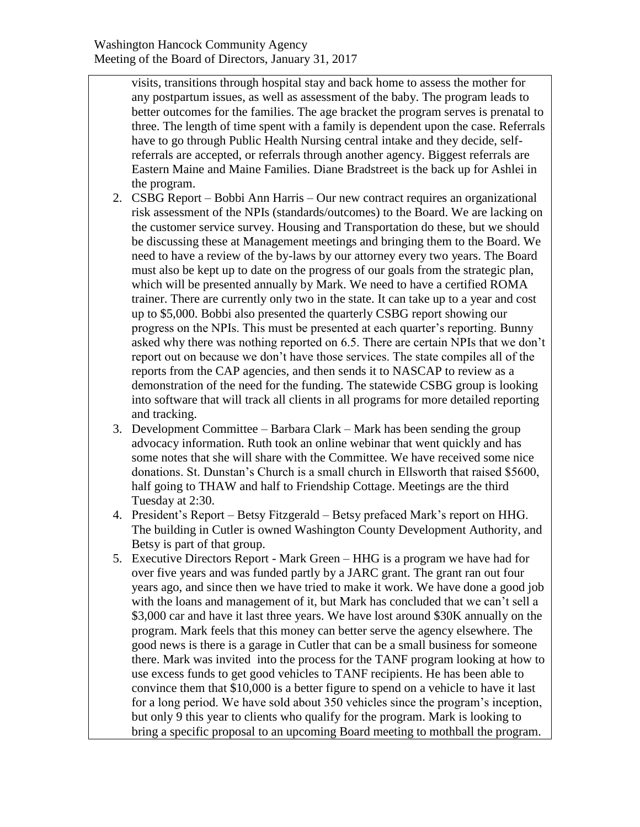visits, transitions through hospital stay and back home to assess the mother for any postpartum issues, as well as assessment of the baby. The program leads to better outcomes for the families. The age bracket the program serves is prenatal to three. The length of time spent with a family is dependent upon the case. Referrals have to go through Public Health Nursing central intake and they decide, selfreferrals are accepted, or referrals through another agency. Biggest referrals are Eastern Maine and Maine Families. Diane Bradstreet is the back up for Ashlei in the program.

- 2. CSBG Report Bobbi Ann Harris Our new contract requires an organizational risk assessment of the NPIs (standards/outcomes) to the Board. We are lacking on the customer service survey. Housing and Transportation do these, but we should be discussing these at Management meetings and bringing them to the Board. We need to have a review of the by-laws by our attorney every two years. The Board must also be kept up to date on the progress of our goals from the strategic plan, which will be presented annually by Mark. We need to have a certified ROMA trainer. There are currently only two in the state. It can take up to a year and cost up to \$5,000. Bobbi also presented the quarterly CSBG report showing our progress on the NPIs. This must be presented at each quarter's reporting. Bunny asked why there was nothing reported on 6.5. There are certain NPIs that we don't report out on because we don't have those services. The state compiles all of the reports from the CAP agencies, and then sends it to NASCAP to review as a demonstration of the need for the funding. The statewide CSBG group is looking into software that will track all clients in all programs for more detailed reporting and tracking.
- 3. Development Committee Barbara Clark Mark has been sending the group advocacy information. Ruth took an online webinar that went quickly and has some notes that she will share with the Committee. We have received some nice donations. St. Dunstan's Church is a small church in Ellsworth that raised \$5600, half going to THAW and half to Friendship Cottage. Meetings are the third Tuesday at 2:30.
- 4. President's Report Betsy Fitzgerald Betsy prefaced Mark's report on HHG. The building in Cutler is owned Washington County Development Authority, and Betsy is part of that group.
- 5. Executive Directors Report Mark Green HHG is a program we have had for over five years and was funded partly by a JARC grant. The grant ran out four years ago, and since then we have tried to make it work. We have done a good job with the loans and management of it, but Mark has concluded that we can't sell a \$3,000 car and have it last three years. We have lost around \$30K annually on the program. Mark feels that this money can better serve the agency elsewhere. The good news is there is a garage in Cutler that can be a small business for someone there. Mark was invited into the process for the TANF program looking at how to use excess funds to get good vehicles to TANF recipients. He has been able to convince them that \$10,000 is a better figure to spend on a vehicle to have it last for a long period. We have sold about 350 vehicles since the program's inception, but only 9 this year to clients who qualify for the program. Mark is looking to bring a specific proposal to an upcoming Board meeting to mothball the program.